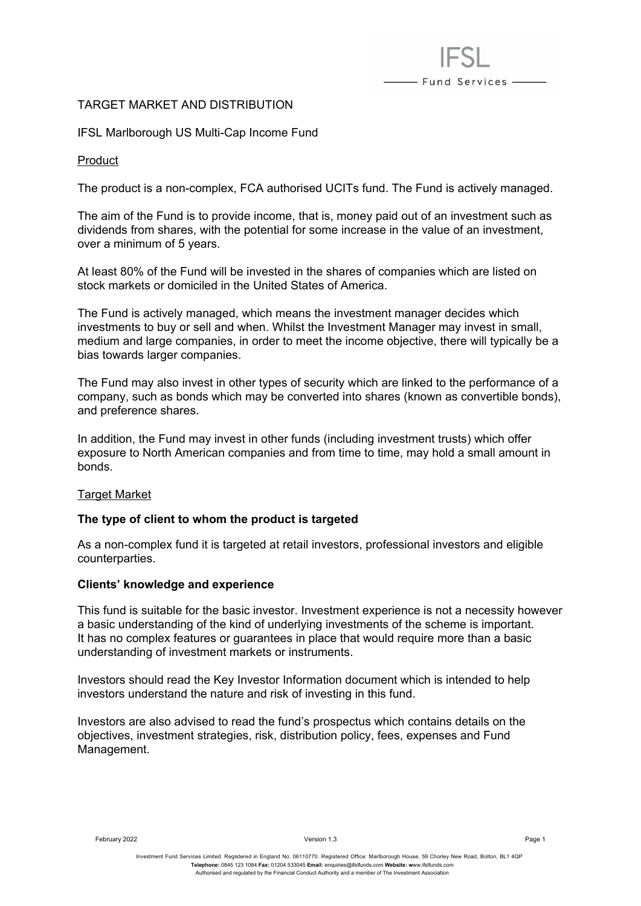# TARGET MARKET AND DISTRIBUTION

IFSL Marlborough US Multi-Cap Income Fund

### Product

The product is a non-complex, FCA authorised UCITs fund. The Fund is actively managed.

- Fund Services -

The aim of the Fund is to provide income, that is, money paid out of an investment such as dividends from shares, with the potential for some increase in the value of an investment, over a minimum of 5 years.

At least 80% of the Fund will be invested in the shares of companies which are listed on stock markets or domiciled in the United States of America.

The Fund is actively managed, which means the investment manager decides which investments to buy or sell and when. Whilst the Investment Manager may invest in small, medium and large companies, in order to meet the income objective, there will typically be a bias towards larger companies.

The Fund may also invest in other types of security which are linked to the performance of a company, such as bonds which may be converted into shares (known as convertible bonds), and preference shares.

In addition, the Fund may invest in other funds (including investment trusts) which offer exposure to North American companies and from time to time, may hold a small amount in bonds.

## **Target Market**

## **The type of client to whom the product is targeted**

As a non-complex fund it is targeted at retail investors, professional investors and eligible counterparties.

#### **Clients' knowledge and experience**

This fund is suitable for the basic investor. Investment experience is not a necessity however a basic understanding of the kind of underlying investments of the scheme is important. It has no complex features or guarantees in place that would require more than a basic understanding of investment markets or instruments.

Investors should read the Key Investor Information document which is intended to help investors understand the nature and risk of investing in this fund.

Investors are also advised to read the fund's prospectus which contains details on the objectives, investment strategies, risk, distribution policy, fees, expenses and Fund Management.